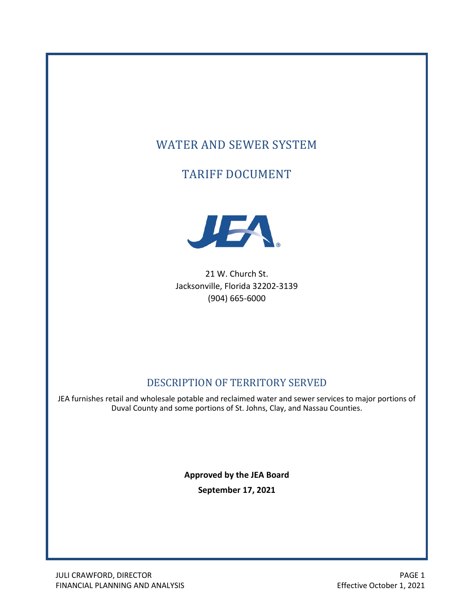# WATER AND SEWER SYSTEM

# TARIFF DOCUMENT



21 W. Church St. Jacksonville, Florida 32202-3139 (904) 665-6000

## DESCRIPTION OF TERRITORY SERVED

JEA furnishes retail and wholesale potable and reclaimed water and sewer services to major portions of Duval County and some portions of St. Johns, Clay, and Nassau Counties.

> **Approved by the JEA Board September 17, 2021**

JULI CRAWFORD, DIRECTOR **PAGE 1** FINANCIAL PLANNING AND ANALYSIS **Effective October 1, 2021**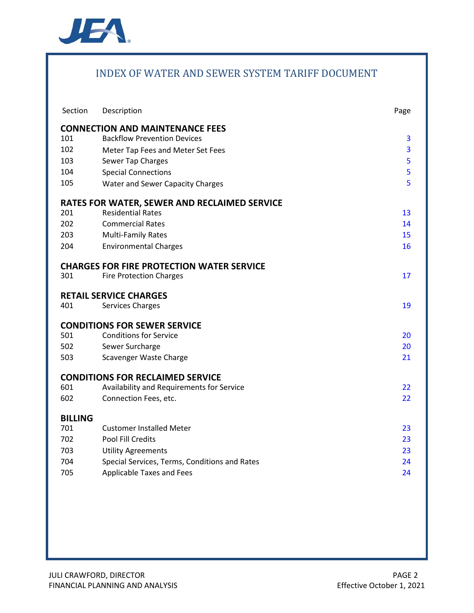

## INDEX OF WATER AND SEWER SYSTEM TARIFF DOCUMENT

| Section        | Description                                         | Page |
|----------------|-----------------------------------------------------|------|
|                | <b>CONNECTION AND MAINTENANCE FEES</b>              |      |
| 101            | <b>Backflow Prevention Devices</b>                  | 3    |
| 102            | Meter Tap Fees and Meter Set Fees                   | 3    |
| 103            | Sewer Tap Charges                                   | 5    |
| 104            | <b>Special Connections</b>                          | 5    |
| 105            | <b>Water and Sewer Capacity Charges</b>             | 5    |
|                | <b>RATES FOR WATER, SEWER AND RECLAIMED SERVICE</b> |      |
| 201            | <b>Residential Rates</b>                            | 13   |
| 202            | <b>Commercial Rates</b>                             | 14   |
| 203            | <b>Multi-Family Rates</b>                           | 15   |
| 204            | <b>Environmental Charges</b>                        | 16   |
|                | <b>CHARGES FOR FIRE PROTECTION WATER SERVICE</b>    |      |
| 301            | <b>Fire Protection Charges</b>                      | 17   |
|                | <b>RETAIL SERVICE CHARGES</b>                       |      |
| 401            | <b>Services Charges</b>                             | 19   |
|                | <b>CONDITIONS FOR SEWER SERVICE</b>                 |      |
| 501            | <b>Conditions for Service</b>                       | 20   |
| 502            | Sewer Surcharge                                     | 20   |
| 503            | Scavenger Waste Charge                              | 21   |
|                | <b>CONDITIONS FOR RECLAIMED SERVICE</b>             |      |
| 601            | Availability and Requirements for Service           | 22   |
| 602            | Connection Fees, etc.                               | 22   |
| <b>BILLING</b> |                                                     |      |
| 701            | <b>Customer Installed Meter</b>                     | 23   |
| 702            | Pool Fill Credits                                   | 23   |
| 703            | <b>Utility Agreements</b>                           | 23   |
| 704            | Special Services, Terms, Conditions and Rates       | 24   |
| 705            | <b>Applicable Taxes and Fees</b>                    | 24   |
|                |                                                     |      |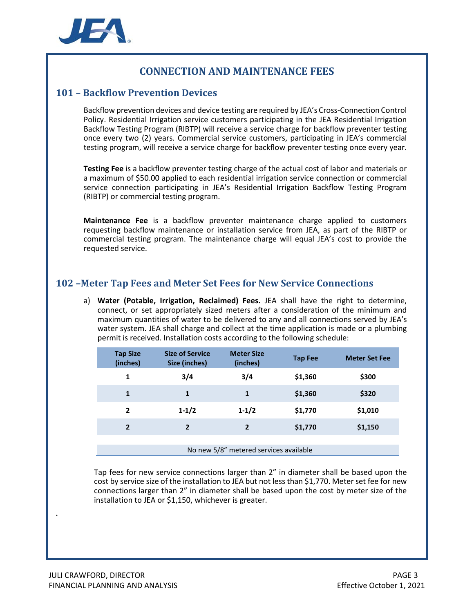

## **CONNECTION AND MAINTENANCE FEES**

#### <span id="page-2-0"></span>**101 – Backflow Prevention Devices**

Backflow prevention devices and device testing are required by JEA's Cross-Connection Control Policy. Residential Irrigation service customers participating in the JEA Residential Irrigation Backflow Testing Program (RIBTP) will receive a service charge for backflow preventer testing once every two (2) years. Commercial service customers, participating in JEA's commercial testing program, will receive a service charge for backflow preventer testing once every year.

**Testing Fee** is a backflow preventer testing charge of the actual cost of labor and materials or a maximum of \$50.00 applied to each residential irrigation service connection or commercial service connection participating in JEA's Residential Irrigation Backflow Testing Program (RIBTP) or commercial testing program.

**Maintenance Fee** is a backflow preventer maintenance charge applied to customers requesting backflow maintenance or installation service from JEA, as part of the RIBTP or commercial testing program. The maintenance charge will equal JEA's cost to provide the requested service.

### <span id="page-2-1"></span>**102 –Meter Tap Fees and Meter Set Fees for New Service Connections**

a) **Water (Potable, Irrigation, Reclaimed) Fees.** JEA shall have the right to determine, connect, or set appropriately sized meters after a consideration of the minimum and maximum quantities of water to be delivered to any and all connections served by JEA's water system. JEA shall charge and collect at the time application is made or a plumbing permit is received. Installation costs according to the following schedule:

| <b>Tap Size</b><br>(inches)            | <b>Size of Service</b><br>Size (inches) | <b>Meter Size</b><br>(inches) | <b>Tap Fee</b> | <b>Meter Set Fee</b> |  |
|----------------------------------------|-----------------------------------------|-------------------------------|----------------|----------------------|--|
| 1                                      | 3/4                                     | 3/4                           | \$1,360        | \$300                |  |
| 1                                      | 1                                       | 1                             | \$1,360        | \$320                |  |
| 2                                      | $1 - 1/2$                               | $1 - 1/2$                     | \$1,770        | \$1,010              |  |
| $\overline{2}$                         | $\overline{2}$                          | $\overline{2}$                | \$1,770        | \$1,150              |  |
|                                        |                                         |                               |                |                      |  |
| No new 5/8" metered services available |                                         |                               |                |                      |  |

Tap fees for new service connections larger than 2" in diameter shall be based upon the cost by service size of the installation to JEA but not less than \$1,770. Meter set fee for new connections larger than 2" in diameter shall be based upon the cost by meter size of the installation to JEA or \$1,150, whichever is greater.

.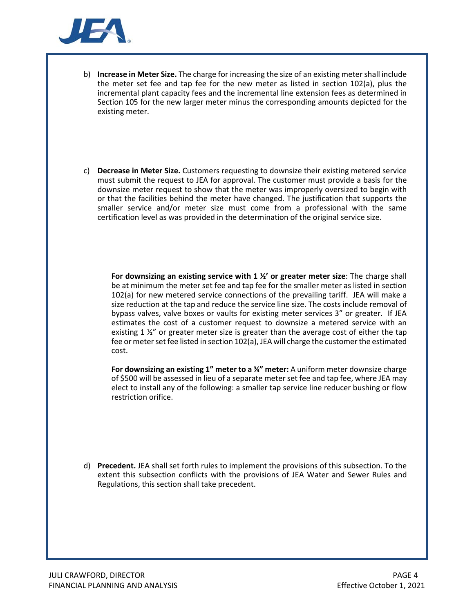

- b) **Increase in Meter Size.** The charge for increasing the size of an existing meter shall include the meter set fee and tap fee for the new meter as listed in section 102(a), plus the incremental plant capacity fees and the incremental line extension fees as determined in Section 105 for the new larger meter minus the corresponding amounts depicted for the existing meter.
- c) **Decrease in Meter Size.** Customers requesting to downsize their existing metered service must submit the request to JEA for approval. The customer must provide a basis for the downsize meter request to show that the meter was improperly oversized to begin with or that the facilities behind the meter have changed. The justification that supports the smaller service and/or meter size must come from a professional with the same certification level as was provided in the determination of the original service size.

**For downsizing an existing service with 1 ½' or greater meter size**: The charge shall be at minimum the meter set fee and tap fee for the smaller meter as listed in section 102(a) for new metered service connections of the prevailing tariff. JEA will make a size reduction at the tap and reduce the service line size. The costs include removal of bypass valves, valve boxes or vaults for existing meter services 3" or greater. If JEA estimates the cost of a customer request to downsize a metered service with an existing 1 %" or greater meter size is greater than the average cost of either the tap fee or meter set fee listed in section 102(a), JEA will charge the customer the estimated cost.

**For downsizing an existing 1" meter to a ¾" meter:** A uniform meter downsize charge of \$500 will be assessed in lieu of a separate meter set fee and tap fee, where JEA may elect to install any of the following: a smaller tap service line reducer bushing or flow restriction orifice.

d) **Precedent.** JEA shall set forth rules to implement the provisions of this subsection. To the extent this subsection conflicts with the provisions of JEA Water and Sewer Rules and Regulations, this section shall take precedent.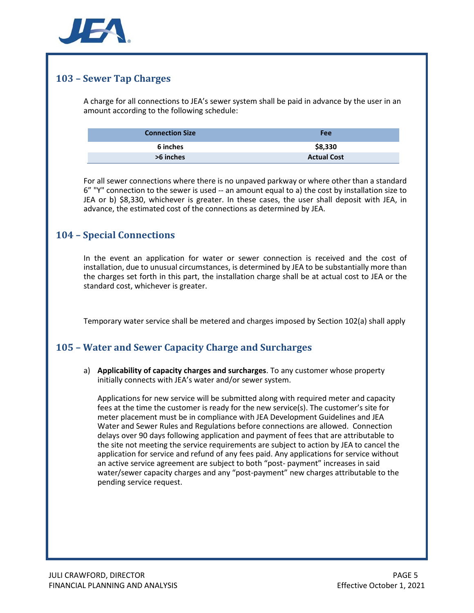

## <span id="page-4-0"></span>**103 – Sewer Tap Charges**

A charge for all connections to JEA's sewer system shall be paid in advance by the user in an amount according to the following schedule:

| <b>Connection Size</b> | Fee                |
|------------------------|--------------------|
| 6 inches               | \$8,330            |
| >6 inches              | <b>Actual Cost</b> |

For all sewer connections where there is no unpaved parkway or where other than a standard 6" "Y" connection to the sewer is used -- an amount equal to a) the cost by installation size to JEA or b) \$8,330, whichever is greater. In these cases, the user shall deposit with JEA, in advance, the estimated cost of the connections as determined by JEA.

## <span id="page-4-1"></span>**104 – Special Connections**

In the event an application for water or sewer connection is received and the cost of installation, due to unusual circumstances, is determined by JEA to be substantially more than the charges set forth in this part, the installation charge shall be at actual cost to JEA or the standard cost, whichever is greater.

Temporary water service shall be metered and charges imposed by Section 102(a) shall apply

## <span id="page-4-2"></span>**105 – Water and Sewer Capacity Charge and Surcharges**

a) **Applicability of capacity charges and surcharges**. To any customer whose property initially connects with JEA's water and/or sewer system.

Applications for new service will be submitted along with required meter and capacity fees at the time the customer is ready for the new service(s). The customer's site for meter placement must be in compliance with JEA Development Guidelines and JEA Water and Sewer Rules and Regulations before connections are allowed. Connection delays over 90 days following application and payment of fees that are attributable to the site not meeting the service requirements are subject to action by JEA to cancel the application for service and refund of any fees paid. Any applications for service without an active service agreement are subject to both "post- payment" increases in said water/sewer capacity charges and any "post-payment" new charges attributable to the pending service request.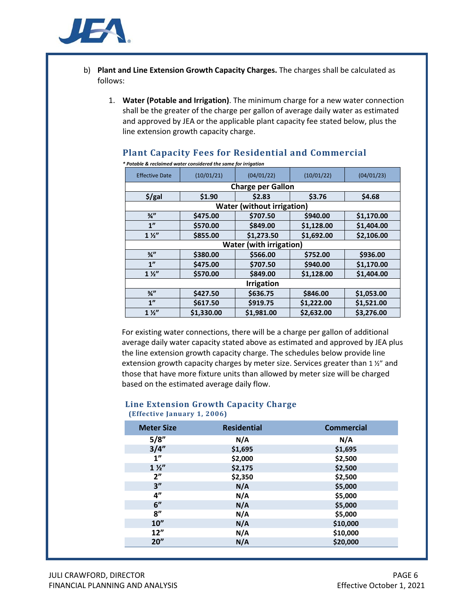

- b) **Plant and Line Extension Growth Capacity Charges.** The charges shall be calculated as follows:
	- 1. **Water (Potable and Irrigation)**. The minimum charge for a new water connection shall be the greater of the charge per gallon of average daily water as estimated and approved by JEA or the applicable plant capacity fee stated below, plus the line extension growth capacity charge.

| * Potable & reclaimed water considered the same for irrigation |                   |                                   |            |            |  |  |
|----------------------------------------------------------------|-------------------|-----------------------------------|------------|------------|--|--|
| <b>Effective Date</b>                                          | (10/01/21)        | (04/01/22)                        | (10/01/22) | (04/01/23) |  |  |
|                                                                |                   | <b>Charge per Gallon</b>          |            |            |  |  |
| $$$ /gal                                                       | \$1.90            | \$2.83                            | \$3.76     | \$4.68     |  |  |
|                                                                |                   | <b>Water (without irrigation)</b> |            |            |  |  |
| $\frac{3}{4}$                                                  | \$475.00          | \$707.50                          | \$940.00   | \$1,170.00 |  |  |
| 1 <sup>n</sup>                                                 | \$570.00          | \$849.00                          | \$1,128.00 | \$1,404.00 |  |  |
| $1\frac{1}{2}$                                                 | \$855.00          | \$1,273.50                        | \$1,692.00 | \$2,106.00 |  |  |
|                                                                |                   | <b>Water (with irrigation)</b>    |            |            |  |  |
| $\frac{3}{4}$                                                  | \$380.00          | \$566.00                          | \$752.00   | \$936.00   |  |  |
| 1 <sup>n</sup>                                                 | \$475.00          | \$707.50                          | \$940.00   | \$1,170.00 |  |  |
| $1\frac{1}{2}$                                                 | \$570.00          | \$849.00                          | \$1,128.00 | \$1,404.00 |  |  |
|                                                                | <b>Irrigation</b> |                                   |            |            |  |  |
| $\frac{3}{4}$                                                  | \$427.50          | \$636.75                          | \$846.00   | \$1,053.00 |  |  |
| 1 <sup>''</sup>                                                | \$617.50          | \$919.75                          | \$1,222.00 | \$1,521.00 |  |  |
| $1\frac{1}{2}$                                                 | \$1,330.00        | \$1,981.00                        | \$2,632.00 | \$3,276.00 |  |  |

#### **Plant Capacity Fees for Residential and Commercial**

For existing water connections, there will be a charge per gallon of additional average daily water capacity stated above as estimated and approved by JEA plus the line extension growth capacity charge. The schedules below provide line extension growth capacity charges by meter size. Services greater than 1 ½" and those that have more fixture units than allowed by meter size will be charged based on the estimated average daily flow.

# **Line Extension Growth Capacity Charge**

| <b>Meter Size</b> | <b>Residential</b> | <b>Commercial</b> |
|-------------------|--------------------|-------------------|
| 5/8"              | N/A                | N/A               |
| 3/4''             | \$1,695            | \$1,695           |
| 1"                | \$2,000            | \$2,500           |
| $1\frac{1}{2}$    | \$2,175            | \$2,500           |
| 2"                | \$2,350            | \$2,500           |
| 3''               | N/A                | \$5,000           |
| 4"                | N/A                | \$5,000           |
| 6"                | N/A                | \$5,000           |
| 8''               | N/A                | \$5,000           |
| 10''              | N/A                | \$10,000          |
| 12"               | N/A                | \$10,000          |
| 20''              | N/A                | \$20,000          |

**(Effective January 1, 2006)**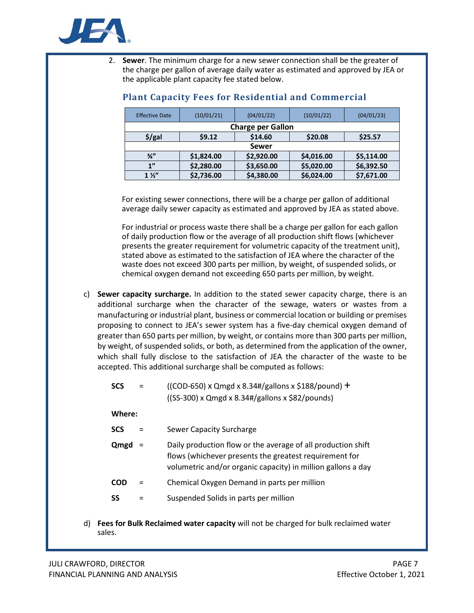

2. **Sewer**. The minimum charge for a new sewer connection shall be the greater of the charge per gallon of average daily water as estimated and approved by JEA or the applicable plant capacity fee stated below.

| <b>Effective Date</b>                   | (10/01/21)               | (04/01/22) | (10/01/22) |            |  |  |
|-----------------------------------------|--------------------------|------------|------------|------------|--|--|
|                                         | <b>Charge per Gallon</b> |            |            |            |  |  |
| \$14.60<br>$$$ /gal<br>59.12<br>\$20.08 |                          |            |            | \$25.57    |  |  |
|                                         | Sewer                    |            |            |            |  |  |
| $\frac{3}{4}$                           | \$1,824.00               | \$2,920.00 | \$4,016.00 | \$5,114.00 |  |  |
| 1 <sup>n</sup>                          | \$2,280.00               | \$3,650.00 | \$5,020.00 | \$6,392.50 |  |  |
| $1\frac{1}{2}$                          | \$2,736.00               | \$4,380.00 | \$6,024.00 | \$7,671.00 |  |  |

### **Plant Capacity Fees for Residential and Commercial**

For existing sewer connections, there will be a charge per gallon of additional average daily sewer capacity as estimated and approved by JEA as stated above.

For industrial or process waste there shall be a charge per gallon for each gallon of daily production flow or the average of all production shift flows (whichever presents the greater requirement for volumetric capacity of the treatment unit), stated above as estimated to the satisfaction of JEA where the character of the waste does not exceed 300 parts per million, by weight, of suspended solids, or chemical oxygen demand not exceeding 650 parts per million, by weight.

c) **Sewer capacity surcharge.** In addition to the stated sewer capacity charge, there is an additional surcharge when the character of the sewage, waters or wastes from a manufacturing or industrial plant, business or commercial location or building or premises proposing to connect to JEA's sewer system has a five-day chemical oxygen demand of greater than 650 parts per million, by weight, or contains more than 300 parts per million, by weight, of suspended solids, or both, as determined from the application of the owner, which shall fully disclose to the satisfaction of JEA the character of the waste to be accepted. This additional surcharge shall be computed as follows:

| SCS<br>$=$ |  | ((COD-650) x Qmgd x 8.34#/gallons x \$188/pound) $+$ |
|------------|--|------------------------------------------------------|
|            |  | $(SS-300)$ x Qmgd x 8.34#/gallons x \$82/pounds)     |

**Where:**

| <b>SCS</b> | <b>Sewer Capacity Surcharge</b> |
|------------|---------------------------------|
|------------|---------------------------------|

- **Qmgd** = Daily production flow or the average of all production shift flows (whichever presents the greatest requirement for volumetric and/or organic capacity) in million gallons a day
- **COD** = Chemical Oxygen Demand in parts per million
- **SS** = Suspended Solids in parts per million
- d) **Fees for Bulk Reclaimed water capacity** will not be charged for bulk reclaimed water sales.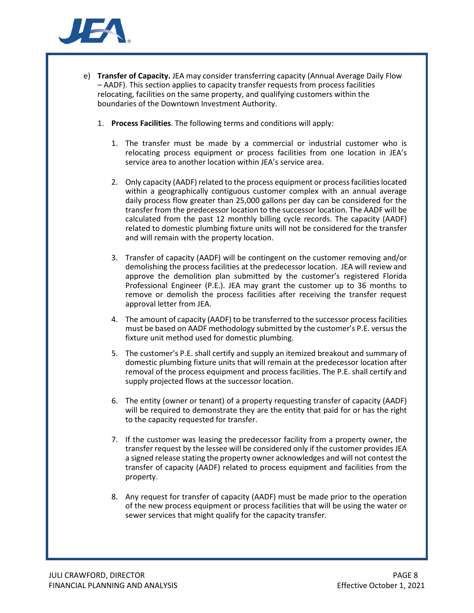

- e) **Transfer of Capacity.** JEA may consider transferring capacity (Annual Average Daily Flow – AADF). This section applies to capacity transfer requests from process facilities relocating, facilities on the same property, and qualifying customers within the boundaries of the Downtown Investment Authority.
	- 1. **Process Facilities**. The following terms and conditions will apply:
		- 1. The transfer must be made by a commercial or industrial customer who is relocating process equipment or process facilities from one location in JEA's service area to another location within JEA's service area.
		- 2. Only capacity (AADF) related to the process equipment or process facilities located within a geographically contiguous customer complex with an annual average daily process flow greater than 25,000 gallons per day can be considered for the transfer from the predecessor location to the successor location. The AADF will be calculated from the past 12 monthly billing cycle records. The capacity (AADF) related to domestic plumbing fixture units will not be considered for the transfer and will remain with the property location.
		- 3. Transfer of capacity (AADF) will be contingent on the customer removing and/or demolishing the process facilities at the predecessor location. JEA will review and approve the demolition plan submitted by the customer's registered Florida Professional Engineer (P.E.). JEA may grant the customer up to 36 months to remove or demolish the process facilities after receiving the transfer request approval letter from JEA.
		- 4. The amount of capacity (AADF) to be transferred to the successor process facilities must be based on AADF methodology submitted by the customer's P.E. versus the fixture unit method used for domestic plumbing.
		- 5. The customer's P.E. shall certify and supply an itemized breakout and summary of domestic plumbing fixture units that will remain at the predecessor location after removal of the process equipment and process facilities. The P.E. shall certify and supply projected flows at the successor location.
		- 6. The entity (owner or tenant) of a property requesting transfer of capacity (AADF) will be required to demonstrate they are the entity that paid for or has the right to the capacity requested for transfer.
		- 7. If the customer was leasing the predecessor facility from a property owner, the transfer request by the lessee will be considered only if the customer provides JEA a signed release stating the property owner acknowledges and will not contest the transfer of capacity (AADF) related to process equipment and facilities from the property.
		- 8. Any request for transfer of capacity (AADF) must be made prior to the operation of the new process equipment or process facilities that will be using the water or sewer services that might qualify for the capacity transfer.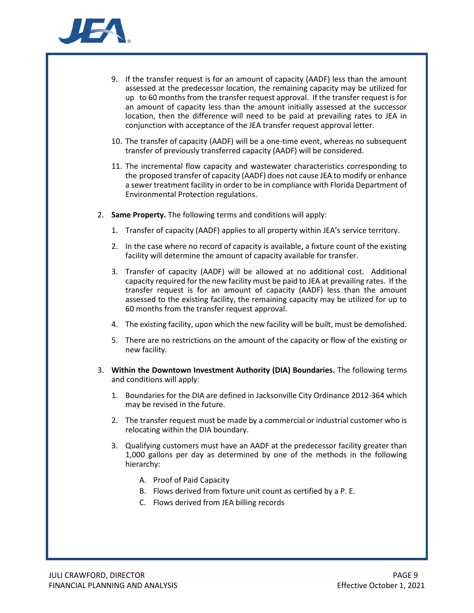

- 9. If the transfer request is for an amount of capacity (AADF) less than the amount assessed at the predecessor location, the remaining capacity may be utilized for up to 60 months from the transfer request approval. If the transfer request is for an amount of capacity less than the amount initially assessed at the successor location, then the difference will need to be paid at prevailing rates to JEA in conjunction with acceptance of the JEA transfer request approval letter.
- 10. The transfer of capacity (AADF) will be a one-time event, whereas no subsequent transfer of previously transferred capacity (AADF) will be considered.
- 11. The incremental flow capacity and wastewater characteristics corresponding to the proposed transfer of capacity (AADF) does not cause JEA to modify or enhance a sewer treatment facility in order to be in compliance with Florida Department of Environmental Protection regulations.
- 2. **Same Property.** The following terms and conditions will apply:
	- 1. Transfer of capacity (AADF) applies to all property within JEA's service territory.
	- 2. In the case where no record of capacity is available, a fixture count of the existing facility will determine the amount of capacity available for transfer.
	- 3. Transfer of capacity (AADF) will be allowed at no additional cost. Additional capacity required for the new facility must be paid to JEA at prevailing rates. If the transfer request is for an amount of capacity (AADF) less than the amount assessed to the existing facility, the remaining capacity may be utilized for up to 60 months from the transfer request approval.
	- 4. The existing facility, upon which the new facility will be built, must be demolished.
	- 5. There are no restrictions on the amount of the capacity or flow of the existing or new facility.
- 3. **Within the Downtown Investment Authority (DIA) Boundaries.** The following terms and conditions will apply:
	- 1. Boundaries for the DIA are defined in Jacksonville City Ordinance 2012-364 which may be revised in the future.
	- 2. The transfer request must be made by a commercial or industrial customer who is relocating within the DIA boundary.
	- 3. Qualifying customers must have an AADF at the predecessor facility greater than 1,000 gallons per day as determined by one of the methods in the following hierarchy:
		- A. Proof of Paid Capacity
		- B. Flows derived from fixture unit count as certified by a P. E.
		- C. Flows derived from JEA billing records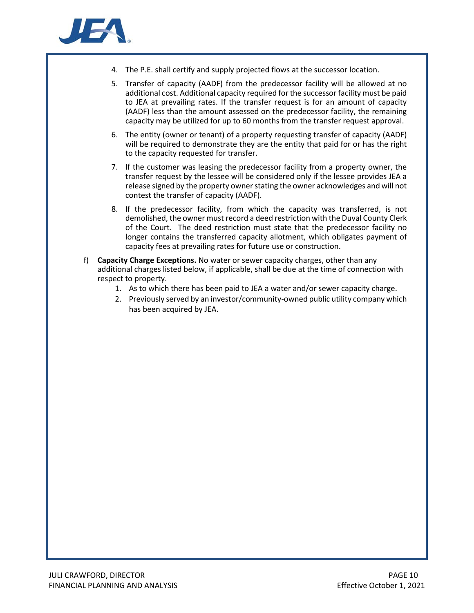

- 4. The P.E. shall certify and supply projected flows at the successor location.
- 5. Transfer of capacity (AADF) from the predecessor facility will be allowed at no additional cost. Additional capacity required for the successor facility must be paid to JEA at prevailing rates. If the transfer request is for an amount of capacity (AADF) less than the amount assessed on the predecessor facility, the remaining capacity may be utilized for up to 60 months from the transfer request approval.
- 6. The entity (owner or tenant) of a property requesting transfer of capacity (AADF) will be required to demonstrate they are the entity that paid for or has the right to the capacity requested for transfer.
- 7. If the customer was leasing the predecessor facility from a property owner, the transfer request by the lessee will be considered only if the lessee provides JEA a release signed by the property owner stating the owner acknowledges and will not contest the transfer of capacity (AADF).
- 8. If the predecessor facility, from which the capacity was transferred, is not demolished, the owner must record a deed restriction with the Duval County Clerk of the Court. The deed restriction must state that the predecessor facility no longer contains the transferred capacity allotment, which obligates payment of capacity fees at prevailing rates for future use or construction.
- f) **Capacity Charge Exceptions.** No water or sewer capacity charges, other than any additional charges listed below, if applicable, shall be due at the time of connection with respect to property.
	- 1. As to which there has been paid to JEA a water and/or sewer capacity charge.
	- 2. Previously served by an investor/community-owned public utility company which has been acquired by JEA.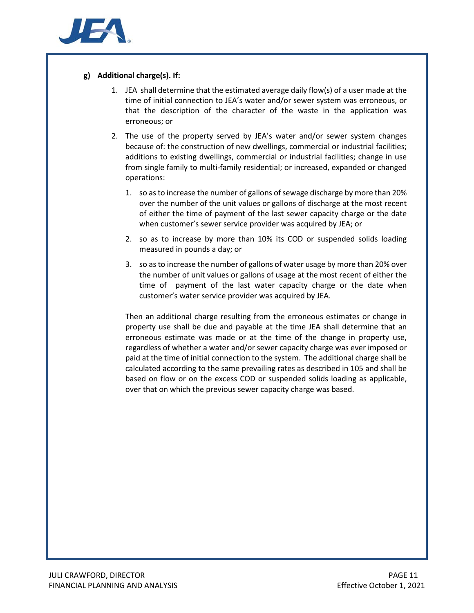

#### **g) Additional charge(s). If:**

- 1. JEA shall determine that the estimated average daily flow(s) of a user made at the time of initial connection to JEA's water and/or sewer system was erroneous, or that the description of the character of the waste in the application was erroneous; or
- 2. The use of the property served by JEA's water and/or sewer system changes because of: the construction of new dwellings, commercial or industrial facilities; additions to existing dwellings, commercial or industrial facilities; change in use from single family to multi-family residential; or increased, expanded or changed operations:
	- 1. so as to increase the number of gallons of sewage discharge by more than 20% over the number of the unit values or gallons of discharge at the most recent of either the time of payment of the last sewer capacity charge or the date when customer's sewer service provider was acquired by JEA; or
	- 2. so as to increase by more than 10% its COD or suspended solids loading measured in pounds a day; or
	- 3. so as to increase the number of gallons of water usage by more than 20% over the number of unit values or gallons of usage at the most recent of either the time of payment of the last water capacity charge or the date when customer's water service provider was acquired by JEA.

Then an additional charge resulting from the erroneous estimates or change in property use shall be due and payable at the time JEA shall determine that an erroneous estimate was made or at the time of the change in property use, regardless of whether a water and/or sewer capacity charge was ever imposed or paid at the time of initial connection to the system. The additional charge shall be calculated according to the same prevailing rates as described in 105 and shall be based on flow or on the excess COD or suspended solids loading as applicable, over that on which the previous sewer capacity charge was based.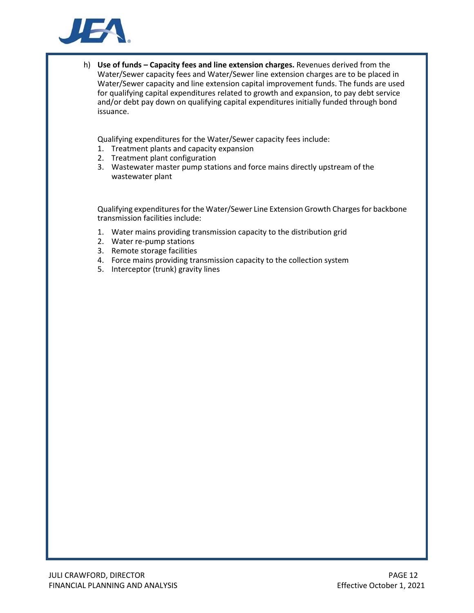

h) **Use of funds – Capacity fees and line extension charges.** Revenues derived from the Water/Sewer capacity fees and Water/Sewer line extension charges are to be placed in Water/Sewer capacity and line extension capital improvement funds. The funds are used for qualifying capital expenditures related to growth and expansion, to pay debt service and/or debt pay down on qualifying capital expenditures initially funded through bond issuance.

Qualifying expenditures for the Water/Sewer capacity fees include:

- 1. Treatment plants and capacity expansion
- 2. Treatment plant configuration
- 3. Wastewater master pump stations and force mains directly upstream of the wastewater plant

Qualifying expenditures for the Water/Sewer Line Extension Growth Charges for backbone transmission facilities include:

- 1. Water mains providing transmission capacity to the distribution grid
- 2. Water re-pump stations
- 3. Remote storage facilities
- 4. Force mains providing transmission capacity to the collection system
- 5. Interceptor (trunk) gravity lines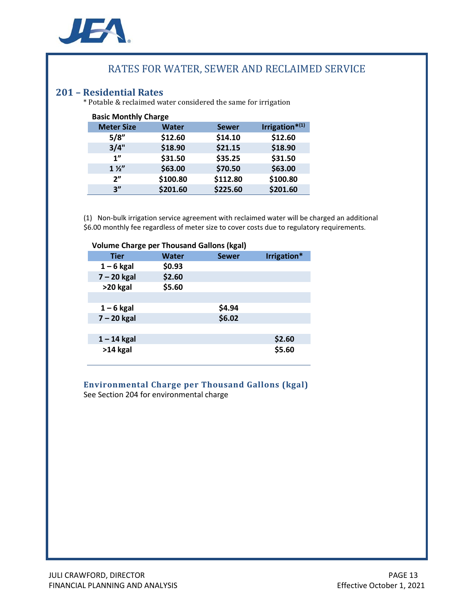

## RATES FOR WATER, SEWER AND RECLAIMED SERVICE

**201 – Residential Rates** \* Potable & reclaimed water considered the same for irrigation

| <b>Basic Monthly Charge</b> |              |              |                               |  |  |
|-----------------------------|--------------|--------------|-------------------------------|--|--|
| <b>Meter Size</b>           | <b>Water</b> | <b>Sewer</b> | Irrigation $*$ <sup>(1)</sup> |  |  |
| 5/8"                        | \$12.60      | \$14.10      | \$12.60                       |  |  |
| 3/4"                        | \$18.90      | \$21.15      | \$18.90                       |  |  |
| 1"                          | \$31.50      | \$35.25      | \$31.50                       |  |  |
| $1\frac{1}{2}$              | \$63.00      | \$70.50      | \$63.00                       |  |  |
| 2 <sup>n</sup>              | \$100.80     | \$112.80     | \$100.80                      |  |  |
| 3"                          | \$201.60     | \$225.60     | \$201.60                      |  |  |

(1) Non-bulk irrigation service agreement with reclaimed water will be charged an additional \$6.00 monthly fee regardless of meter size to cover costs due to regulatory requirements.

| <b>Volume Charge per Thousand Gallons (kgal)</b> |        |              |             |  |
|--------------------------------------------------|--------|--------------|-------------|--|
| <b>Tier</b>                                      | Water  | <b>Sewer</b> | Irrigation* |  |
| $1 - 6$ kgal                                     | \$0.93 |              |             |  |
| $7 - 20$ kgal                                    | \$2.60 |              |             |  |
| >20 kgal                                         | \$5.60 |              |             |  |
|                                                  |        |              |             |  |
| $1 - 6$ kgal                                     |        | \$4.94       |             |  |
| $7 - 20$ kgal                                    |        | \$6.02       |             |  |
|                                                  |        |              |             |  |
| $1 - 14$ kgal                                    |        |              | \$2.60      |  |
| $>14$ kgal                                       |        |              | \$5.60      |  |

#### **Environmental Charge per Thousand Gallons (kgal)** See Section 204 for environmental charge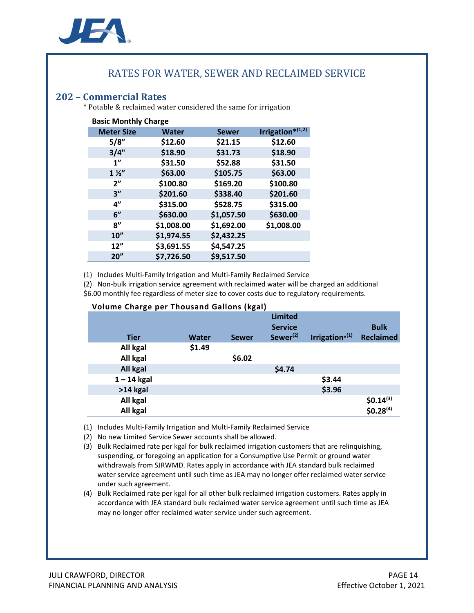

## RATES FOR WATER, SEWER AND RECLAIMED SERVICE

<span id="page-13-0"></span>**202 – Commercial Rates** \* Potable & reclaimed water considered the same for irrigation

| <b>Basic Monthly Charge</b> |              |              |                  |  |  |
|-----------------------------|--------------|--------------|------------------|--|--|
| <b>Meter Size</b>           | <b>Water</b> | <b>Sewer</b> | Irrigation*(1,2) |  |  |
| 5/8"                        | \$12.60      | \$21.15      | \$12.60          |  |  |
| 3/4"                        | \$18.90      | \$31.73      | \$18.90          |  |  |
| 1"                          | \$31.50      | \$52.88      | \$31.50          |  |  |
| $1\frac{1}{2}$              | \$63.00      | \$105.75     | \$63.00          |  |  |
| 2 <sup>n</sup>              | \$100.80     | \$169.20     | \$100.80         |  |  |
| 3''                         | \$201.60     | \$338.40     | \$201.60         |  |  |
| 4"                          | \$315.00     | \$528.75     | \$315.00         |  |  |
| 6"                          | \$630.00     | \$1,057.50   | \$630.00         |  |  |
| 8''                         | \$1,008.00   | \$1,692.00   | \$1,008.00       |  |  |
| 10''                        | \$1,974.55   | \$2,432.25   |                  |  |  |
| 12"                         | \$3,691.55   | \$4,547.25   |                  |  |  |
| 20''                        | \$7,726.50   | \$9,517.50   |                  |  |  |

(1) Includes Multi-Family Irrigation and Multi-Family Reclaimed Service

(2) Non-bulk irrigation service agreement with reclaimed water will be charged an additional

\$6.00 monthly fee regardless of meter size to cover costs due to regulatory requirements.

| <b>Tier</b>   | Water  | <b>Sewer</b> | <b>Limited</b><br><b>Service</b><br>Sewer <sup>(2)</sup> | Irrigation $*^{(1)}$ | <b>Bulk</b><br><b>Reclaimed</b>      |
|---------------|--------|--------------|----------------------------------------------------------|----------------------|--------------------------------------|
| All kgal      | \$1.49 |              |                                                          |                      |                                      |
| All kgal      |        | \$6.02       |                                                          |                      |                                      |
| All kgal      |        |              | \$4.74                                                   |                      |                                      |
| $1 - 14$ kgal |        |              |                                                          | \$3.44               |                                      |
| $>14$ kgal    |        |              |                                                          | \$3.96               |                                      |
| All kgal      |        |              |                                                          |                      |                                      |
| All kgal      |        |              |                                                          |                      | $$0.14^{(3)}$$ \$0.28 <sup>(4)</sup> |

#### **Volume Charge per Thousand Gallons (kgal)**

(1) Includes Multi-Family Irrigation and Multi-Family Reclaimed Service

- (2) No new Limited Service Sewer accounts shall be allowed.
- (3) Bulk Reclaimed rate per kgal for bulk reclaimed irrigation customers that are relinquishing, suspending, or foregoing an application for a Consumptive Use Permit or ground water withdrawals from SJRWMD. Rates apply in accordance with JEA standard bulk reclaimed water service agreement until such time as JEA may no longer offer reclaimed water service under such agreement.
- (4) Bulk Reclaimed rate per kgal for all other bulk reclaimed irrigation customers. Rates apply in accordance with JEA standard bulk reclaimed water service agreement until such time as JEA may no longer offer reclaimed water service under such agreement.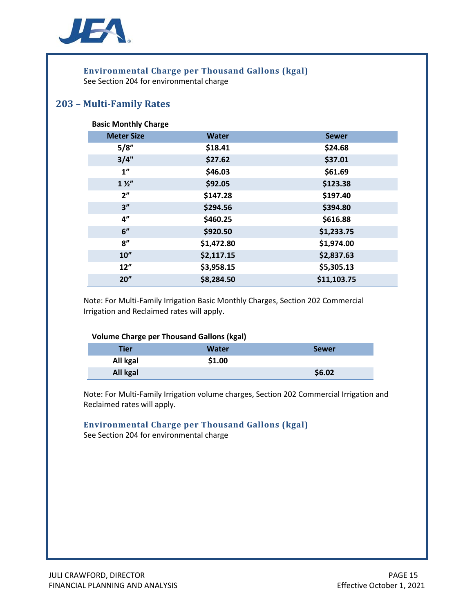

# **Environmental Charge per Thousand Gallons (kgal)**

See Section 204 for environmental charge

## <span id="page-14-0"></span>**203 – Multi-Family Rates**

#### **Basic Monthly Charge**

| <b>Meter Size</b> | <b>Water</b> | <b>Sewer</b> |
|-------------------|--------------|--------------|
| 5/8"              | \$18.41      | \$24.68      |
| 3/4"              | \$27.62      | \$37.01      |
| 1 <sup>n</sup>    | \$46.03      | \$61.69      |
| $1\frac{1}{2}$    | \$92.05      | \$123.38     |
| 2 <sup>n</sup>    | \$147.28     | \$197.40     |
| 3''               | \$294.56     | \$394.80     |
| 4"                | \$460.25     | \$616.88     |
| 6"                | \$920.50     | \$1,233.75   |
| 8"                | \$1,472.80   | \$1,974.00   |
| 10"               | \$2,117.15   | \$2,837.63   |
| 12"               | \$3,958.15   | \$5,305.13   |
| 20''              | \$8,284.50   | \$11,103.75  |

Note: For Multi-Family Irrigation Basic Monthly Charges, Section 202 Commercial Irrigation and Reclaimed rates will apply.

#### **Volume Charge per Thousand Gallons (kgal)**

| Tier     | <b>Water</b> | <b>Sewer</b> |
|----------|--------------|--------------|
| All kgal | \$1.00       |              |
| All kgal |              | \$6.02       |

Note: For Multi-Family Irrigation volume charges, Section 202 Commercial Irrigation and Reclaimed rates will apply.

#### **Environmental Charge per Thousand Gallons (kgal)** See Section 204 for environmental charge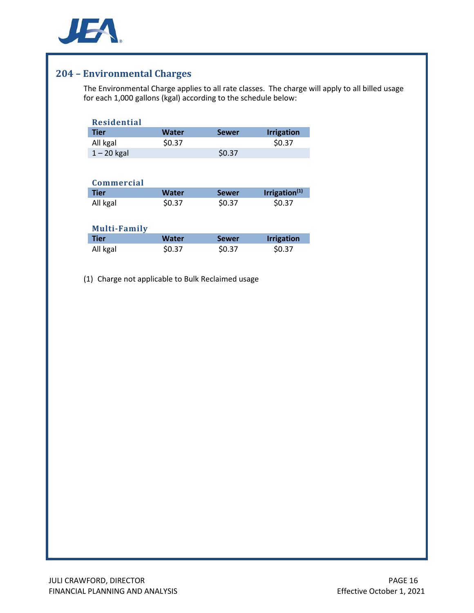

## <span id="page-15-0"></span>**204 – Environmental Charges**

The Environmental Charge applies to all rate classes. The charge will apply to all billed usage for each 1,000 gallons (kgal) according to the schedule below:

| <b>Residential</b>                 |              |              |                           |
|------------------------------------|--------------|--------------|---------------------------|
| <b>Tier</b>                        | <b>Water</b> | <b>Sewer</b> | <b>Irrigation</b>         |
| All kgal                           | \$0.37       |              | \$0.37                    |
| $1 - 20$ kgal                      |              | \$0.37       |                           |
|                                    |              |              |                           |
|                                    |              |              |                           |
| <b>Commercial</b>                  |              |              |                           |
| <b>Tier</b>                        | <b>Water</b> | <b>Sewer</b> | Irrigation <sup>(1)</sup> |
| All kgal                           | \$0.37       | \$0.37       | \$0.37                    |
|                                    |              |              |                           |
|                                    |              |              |                           |
|                                    |              |              |                           |
| <b>Multi-Family</b><br><b>Tier</b> | <b>Water</b> | <b>Sewer</b> | <b>Irrigation</b>         |

(1) Charge not applicable to Bulk Reclaimed usage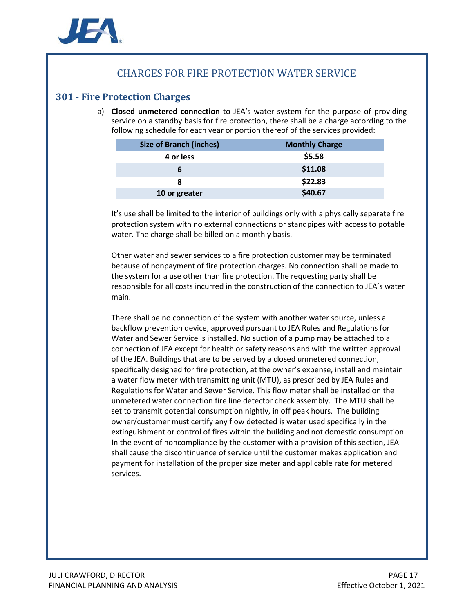

## CHARGES FOR FIRE PROTECTION WATER SERVICE

## <span id="page-16-0"></span>**301 - Fire Protection Charges**

a) **Closed unmetered connection** to JEA's water system for the purpose of providing service on a standby basis for fire protection, there shall be a charge according to the following schedule for each year or portion thereof of the services provided:

| <b>Size of Branch (inches)</b> | <b>Monthly Charge</b> |
|--------------------------------|-----------------------|
| 4 or less                      | \$5.58                |
|                                | \$11.08               |
| 8                              | \$22.83               |
| 10 or greater                  | \$40.67               |

It's use shall be limited to the interior of buildings only with a physically separate fire protection system with no external connections or standpipes with access to potable water. The charge shall be billed on a monthly basis.

Other water and sewer services to a fire protection customer may be terminated because of nonpayment of fire protection charges. No connection shall be made to the system for a use other than fire protection. The requesting party shall be responsible for all costs incurred in the construction of the connection to JEA's water main.

There shall be no connection of the system with another water source, unless a backflow prevention device, approved pursuant to JEA Rules and Regulations for Water and Sewer Service is installed. No suction of a pump may be attached to a connection of JEA except for health or safety reasons and with the written approval of the JEA. Buildings that are to be served by a closed unmetered connection, specifically designed for fire protection, at the owner's expense, install and maintain a water flow meter with transmitting unit (MTU), as prescribed by JEA Rules and Regulations for Water and Sewer Service. This flow meter shall be installed on the unmetered water connection fire line detector check assembly. The MTU shall be set to transmit potential consumption nightly, in off peak hours. The building owner/customer must certify any flow detected is water used specifically in the extinguishment or control of fires within the building and not domestic consumption. In the event of noncompliance by the customer with a provision of this section, JEA shall cause the discontinuance of service until the customer makes application and payment for installation of the proper size meter and applicable rate for metered services.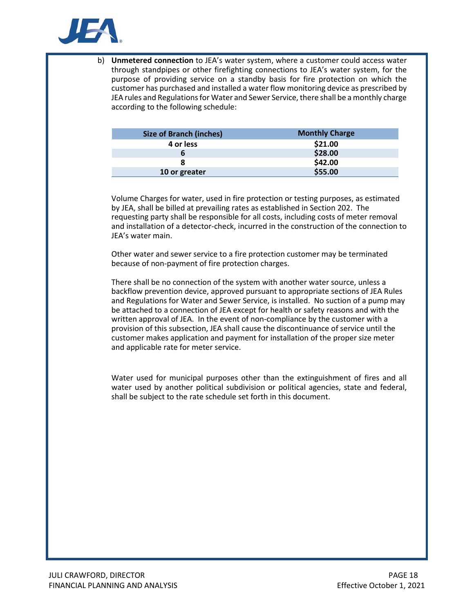

b) **Unmetered connection** to JEA's water system, where a customer could access water through standpipes or other firefighting connections to JEA's water system, for the purpose of providing service on a standby basis for fire protection on which the customer has purchased and installed a water flow monitoring device as prescribed by JEA rules and Regulations for Water and Sewer Service, there shall be a monthly charge according to the following schedule:

| <b>Size of Branch (inches)</b> | <b>Monthly Charge</b> |
|--------------------------------|-----------------------|
| 4 or less                      | \$21.00               |
| b                              | \$28.00               |
|                                | \$42.00               |
| 10 or greater                  | \$55.00               |

Volume Charges for water, used in fire protection or testing purposes, as estimated by JEA, shall be billed at prevailing rates as established in Section 202. The requesting party shall be responsible for all costs, including costs of meter removal and installation of a detector-check, incurred in the construction of the connection to JEA's water main.

Other water and sewer service to a fire protection customer may be terminated because of non-payment of fire protection charges.

There shall be no connection of the system with another water source, unless a backflow prevention device, approved pursuant to appropriate sections of JEA Rules and Regulations for Water and Sewer Service, is installed. No suction of a pump may be attached to a connection of JEA except for health or safety reasons and with the written approval of JEA. In the event of non-compliance by the customer with a provision of this subsection, JEA shall cause the discontinuance of service until the customer makes application and payment for installation of the proper size meter and applicable rate for meter service.

Water used for municipal purposes other than the extinguishment of fires and all water used by another political subdivision or political agencies, state and federal, shall be subject to the rate schedule set forth in this document.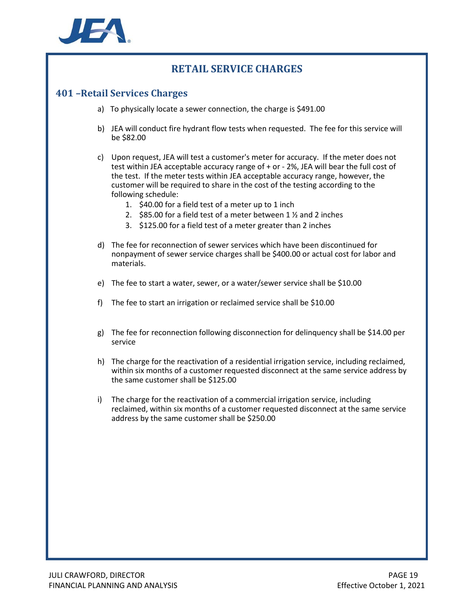

## **RETAIL SERVICE CHARGES**

### <span id="page-18-0"></span>**401 –Retail Services Charges**

- a) To physically locate a sewer connection, the charge is \$491.00
- b) JEA will conduct fire hydrant flow tests when requested. The fee for this service will be \$82.00
- c) Upon request, JEA will test a customer's meter for accuracy. If the meter does not test within JEA acceptable accuracy range of + or - 2%, JEA will bear the full cost of the test. If the meter tests within JEA acceptable accuracy range, however, the customer will be required to share in the cost of the testing according to the following schedule:
	- 1. \$40.00 for a field test of a meter up to 1 inch
	- 2. \$85.00 for a field test of a meter between 1 ½ and 2 inches
	- 3. \$125.00 for a field test of a meter greater than 2 inches
- d) The fee for reconnection of sewer services which have been discontinued for nonpayment of sewer service charges shall be \$400.00 or actual cost for labor and materials.
- e) The fee to start a water, sewer, or a water/sewer service shall be \$10.00
- f) The fee to start an irrigation or reclaimed service shall be \$10.00
- g) The fee for reconnection following disconnection for delinquency shall be \$14.00 per service
- h) The charge for the reactivation of a residential irrigation service, including reclaimed, within six months of a customer requested disconnect at the same service address by the same customer shall be \$125.00
- i) The charge for the reactivation of a commercial irrigation service, including reclaimed, within six months of a customer requested disconnect at the same service address by the same customer shall be \$250.00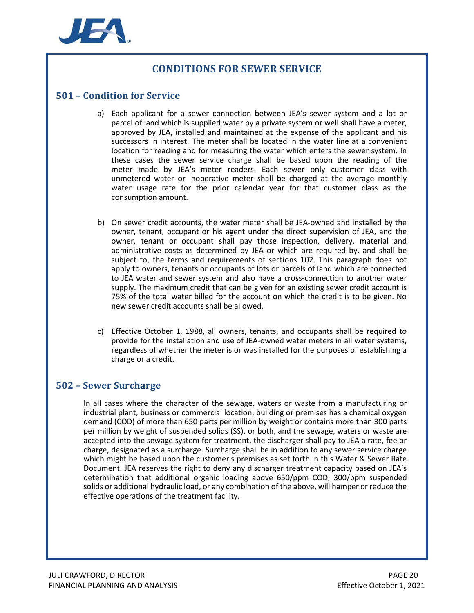

## **CONDITIONS FOR SEWER SERVICE**

#### <span id="page-19-0"></span>**501 – Condition for Service**

- a) Each applicant for a sewer connection between JEA's sewer system and a lot or parcel of land which is supplied water by a private system or well shall have a meter, approved by JEA, installed and maintained at the expense of the applicant and his successors in interest. The meter shall be located in the water line at a convenient location for reading and for measuring the water which enters the sewer system. In these cases the sewer service charge shall be based upon the reading of the meter made by JEA's meter readers. Each sewer only customer class with unmetered water or inoperative meter shall be charged at the average monthly water usage rate for the prior calendar year for that customer class as the consumption amount.
- b) On sewer credit accounts, the water meter shall be JEA-owned and installed by the owner, tenant, occupant or his agent under the direct supervision of JEA, and the owner, tenant or occupant shall pay those inspection, delivery, material and administrative costs as determined by JEA or which are required by, and shall be subject to, the terms and requirements of sections 102. This paragraph does not apply to owners, tenants or occupants of lots or parcels of land which are connected to JEA water and sewer system and also have a cross-connection to another water supply. The maximum credit that can be given for an existing sewer credit account is 75% of the total water billed for the account on which the credit is to be given. No new sewer credit accounts shall be allowed.
- c) Effective October 1, 1988, all owners, tenants, and occupants shall be required to provide for the installation and use of JEA-owned water meters in all water systems, regardless of whether the meter is or was installed for the purposes of establishing a charge or a credit.

#### <span id="page-19-1"></span>**502 – Sewer Surcharge**

In all cases where the character of the sewage, waters or waste from a manufacturing or industrial plant, business or commercial location, building or premises has a chemical oxygen demand (COD) of more than 650 parts per million by weight or contains more than 300 parts per million by weight of suspended solids (SS), or both, and the sewage, waters or waste are accepted into the sewage system for treatment, the discharger shall pay to JEA a rate, fee or charge, designated as a surcharge. Surcharge shall be in addition to any sewer service charge which might be based upon the customer's premises as set forth in this Water & Sewer Rate Document. JEA reserves the right to deny any discharger treatment capacity based on JEA's determination that additional organic loading above 650/ppm COD, 300/ppm suspended solids or additional hydraulic load, or any combination of the above, will hamper or reduce the effective operations of the treatment facility.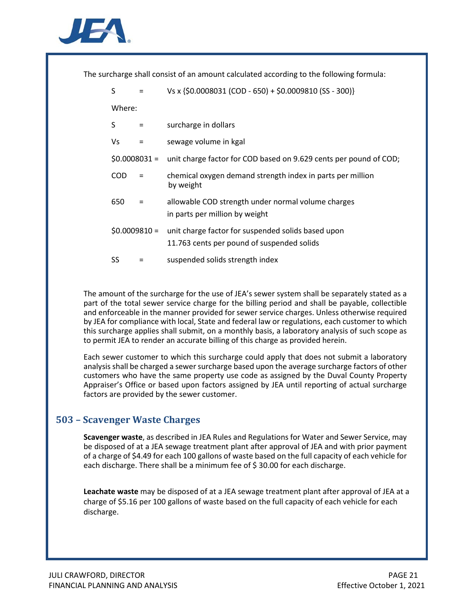

The surcharge shall consist of an amount calculated according to the following formula:

| S      |                | Vs x {\$0.0008031 (COD - 650) + \$0.0009810 (SS - 300)}                                          |
|--------|----------------|--------------------------------------------------------------------------------------------------|
| Where: |                |                                                                                                  |
| S      | $=$            | surcharge in dollars                                                                             |
| ٧s     |                | sewage volume in kgal                                                                            |
|        | $$0.0008031 =$ | unit charge factor for COD based on 9.629 cents per pound of COD;                                |
| COD    |                | chemical oxygen demand strength index in parts per million<br>by weight                          |
| 650    |                | allowable COD strength under normal volume charges<br>in parts per million by weight             |
|        | $$0.0009810 =$ | unit charge factor for suspended solids based upon<br>11.763 cents per pound of suspended solids |
| SS     |                | suspended solids strength index                                                                  |

The amount of the surcharge for the use of JEA's sewer system shall be separately stated as a part of the total sewer service charge for the billing period and shall be payable, collectible and enforceable in the manner provided for sewer service charges. Unless otherwise required by JEA for compliance with local, State and federal law or regulations, each customer to which this surcharge applies shall submit, on a monthly basis, a laboratory analysis of such scope as to permit JEA to render an accurate billing of this charge as provided herein.

Each sewer customer to which this surcharge could apply that does not submit a laboratory analysis shall be charged a sewer surcharge based upon the average surcharge factors of other customers who have the same property use code as assigned by the Duval County Property Appraiser's Office or based upon factors assigned by JEA until reporting of actual surcharge factors are provided by the sewer customer.

## <span id="page-20-0"></span>**503 – Scavenger Waste Charges**

**Scavenger waste**, as described in JEA Rules and Regulations for Water and Sewer Service, may be disposed of at a JEA sewage treatment plant after approval of JEA and with prior payment of a charge of \$4.49 for each 100 gallons of waste based on the full capacity of each vehicle for each discharge. There shall be a minimum fee of \$30.00 for each discharge.

**Leachate waste** may be disposed of at a JEA sewage treatment plant after approval of JEA at a charge of \$5.16 per 100 gallons of waste based on the full capacity of each vehicle for each discharge.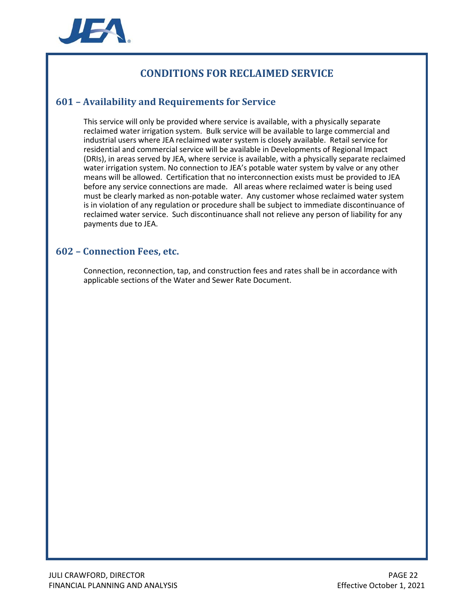

## **CONDITIONS FOR RECLAIMED SERVICE**

## <span id="page-21-0"></span>**601 – Availability and Requirements for Service**

This service will only be provided where service is available, with a physically separate reclaimed water irrigation system. Bulk service will be available to large commercial and industrial users where JEA reclaimed water system is closely available. Retail service for residential and commercial service will be available in Developments of Regional Impact (DRIs), in areas served by JEA, where service is available, with a physically separate reclaimed water irrigation system. No connection to JEA's potable water system by valve or any other means will be allowed. Certification that no interconnection exists must be provided to JEA before any service connections are made. All areas where reclaimed water is being used must be clearly marked as non-potable water. Any customer whose reclaimed water system is in violation of any regulation or procedure shall be subject to immediate discontinuance of reclaimed water service. Such discontinuance shall not relieve any person of liability for any payments due to JEA.

#### <span id="page-21-1"></span>**602 – Connection Fees, etc.**

Connection, reconnection, tap, and construction fees and rates shall be in accordance with applicable sections of the Water and Sewer Rate Document.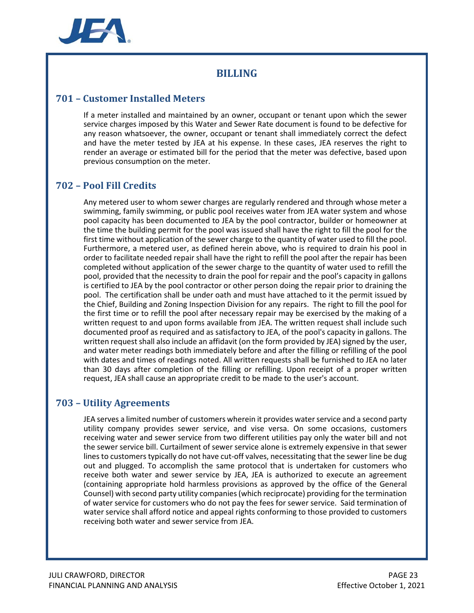

## **BILLING**

## <span id="page-22-0"></span>**701 – Customer Installed Meters**

If a meter installed and maintained by an owner, occupant or tenant upon which the sewer service charges imposed by this Water and Sewer Rate document is found to be defective for any reason whatsoever, the owner, occupant or tenant shall immediately correct the defect and have the meter tested by JEA at his expense. In these cases, JEA reserves the right to render an average or estimated bill for the period that the meter was defective, based upon previous consumption on the meter.

## <span id="page-22-1"></span>**702 – Pool Fill Credits**

Any metered user to whom sewer charges are regularly rendered and through whose meter a swimming, family swimming, or public pool receives water from JEA water system and whose pool capacity has been documented to JEA by the pool contractor, builder or homeowner at the time the building permit for the pool was issued shall have the right to fill the pool for the first time without application of the sewer charge to the quantity of water used to fill the pool. Furthermore, a metered user, as defined herein above, who is required to drain his pool in order to facilitate needed repair shall have the right to refill the pool after the repair has been completed without application of the sewer charge to the quantity of water used to refill the pool, provided that the necessity to drain the pool for repair and the pool's capacity in gallons is certified to JEA by the pool contractor or other person doing the repair prior to draining the pool. The certification shall be under oath and must have attached to it the permit issued by the Chief, Building and Zoning Inspection Division for any repairs. The right to fill the pool for the first time or to refill the pool after necessary repair may be exercised by the making of a written request to and upon forms available from JEA. The written request shall include such documented proof as required and as satisfactory to JEA, of the pool's capacity in gallons. The written request shall also include an affidavit (on the form provided by JEA) signed by the user, and water meter readings both immediately before and after the filling or refilling of the pool with dates and times of readings noted. All written requests shall be furnished to JEA no later than 30 days after completion of the filling or refilling. Upon receipt of a proper written request, JEA shall cause an appropriate credit to be made to the user's account.

## <span id="page-22-2"></span>**703 – Utility Agreements**

JEA serves a limited number of customers wherein it provides water service and a second party utility company provides sewer service, and vise versa. On some occasions, customers receiving water and sewer service from two different utilities pay only the water bill and not the sewer service bill. Curtailment of sewer service alone is extremely expensive in that sewer lines to customers typically do not have cut-off valves, necessitating that the sewer line be dug out and plugged. To accomplish the same protocol that is undertaken for customers who receive both water and sewer service by JEA, JEA is authorized to execute an agreement (containing appropriate hold harmless provisions as approved by the office of the General Counsel) with second party utility companies (which reciprocate) providing for the termination of water service for customers who do not pay the fees for sewer service. Said termination of water service shall afford notice and appeal rights conforming to those provided to customers receiving both water and sewer service from JEA.